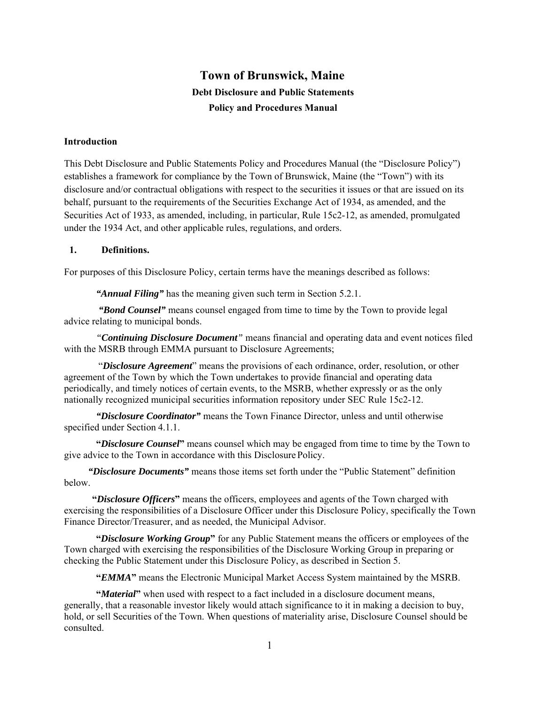# **Town of Brunswick, Maine Debt Disclosure and Public Statements Policy and Procedures Manual**

# **Introduction**

This Debt Disclosure and Public Statements Policy and Procedures Manual (the "Disclosure Policy") establishes a framework for compliance by the Town of Brunswick, Maine (the "Town") with its disclosure and/or contractual obligations with respect to the securities it issues or that are issued on its behalf, pursuant to the requirements of the Securities Exchange Act of 1934, as amended, and the Securities Act of 1933, as amended, including, in particular, Rule 15c2-12, as amended, promulgated under the 1934 Act, and other applicable rules, regulations, and orders.

# **1. Definitions.**

For purposes of this Disclosure Policy, certain terms have the meanings described as follows:

*"Annual Filing"* has the meaning given such term in Section 5.2.1.

 *"Bond Counsel"* means counsel engaged from time to time by the Town to provide legal advice relating to municipal bonds.

*"Continuing Disclosure Document"* means financial and operating data and event notices filed with the MSRB through EMMA pursuant to Disclosure Agreements;

 "*Disclosure Agreement*" means the provisions of each ordinance, order, resolution, or other agreement of the Town by which the Town undertakes to provide financial and operating data periodically, and timely notices of certain events, to the MSRB, whether expressly or as the only nationally recognized municipal securities information repository under SEC Rule 15c2-12.

*"Disclosure Coordinator"* means the Town Finance Director, unless and until otherwise specified under Section 4.1.1.

**"***Disclosure Counsel***"** means counsel which may be engaged from time to time by the Town to give advice to the Town in accordance with this Disclosure Policy.

*"Disclosure Documents"* means those items set forth under the "Public Statement" definition below.

**"***Disclosure Officers***"** means the officers, employees and agents of the Town charged with exercising the responsibilities of a Disclosure Officer under this Disclosure Policy, specifically the Town Finance Director/Treasurer, and as needed, the Municipal Advisor.

**"***Disclosure Working Group***"** for any Public Statement means the officers or employees of the Town charged with exercising the responsibilities of the Disclosure Working Group in preparing or checking the Public Statement under this Disclosure Policy, as described in Section 5.

**"***EMMA***"** means the Electronic Municipal Market Access System maintained by the MSRB.

**"***Material***"** when used with respect to a fact included in a disclosure document means, generally, that a reasonable investor likely would attach significance to it in making a decision to buy, hold, or sell Securities of the Town. When questions of materiality arise, Disclosure Counsel should be consulted.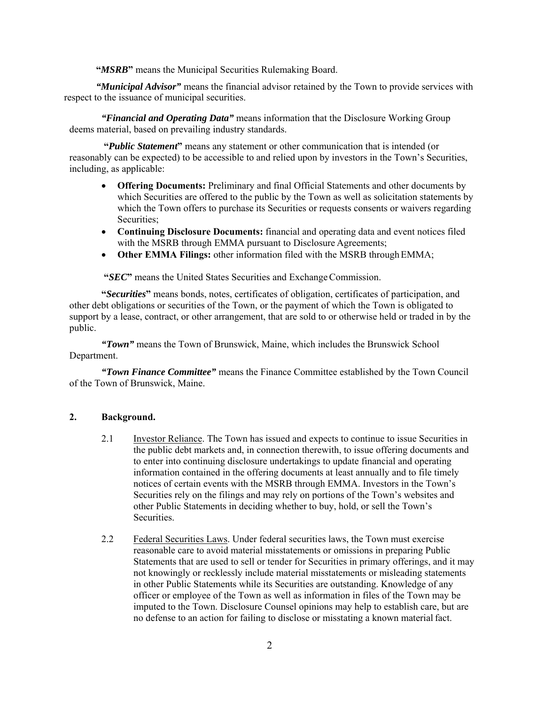**"***MSRB***"** means the Municipal Securities Rulemaking Board.

*"Municipal Advisor"* means the financial advisor retained by the Town to provide services with respect to the issuance of municipal securities.

*"Financial and Operating Data"* means information that the Disclosure Working Group deems material, based on prevailing industry standards.

 **"***Public Statement***"** means any statement or other communication that is intended (or reasonably can be expected) to be accessible to and relied upon by investors in the Town's Securities, including, as applicable:

- **Offering Documents:** Preliminary and final Official Statements and other documents by which Securities are offered to the public by the Town as well as solicitation statements by which the Town offers to purchase its Securities or requests consents or waivers regarding Securities;
- **Continuing Disclosure Documents:** financial and operating data and event notices filed with the MSRB through EMMA pursuant to Disclosure Agreements;
- Other EMMA Filings: other information filed with the MSRB through EMMA;

 **"***SEC***"** means the United States Securities and Exchange Commission.

**"***Securities***"** means bonds, notes, certificates of obligation, certificates of participation, and other debt obligations or securities of the Town, or the payment of which the Town is obligated to support by a lease, contract, or other arrangement, that are sold to or otherwise held or traded in by the public.

*"Town"* means the Town of Brunswick, Maine, which includes the Brunswick School Department.

*"Town Finance Committee"* means the Finance Committee established by the Town Council of the Town of Brunswick, Maine.

# **2. Background.**

- 2.1 Investor Reliance. The Town has issued and expects to continue to issue Securities in the public debt markets and, in connection therewith, to issue offering documents and to enter into continuing disclosure undertakings to update financial and operating information contained in the offering documents at least annually and to file timely notices of certain events with the MSRB through EMMA. Investors in the Town's Securities rely on the filings and may rely on portions of the Town's websites and other Public Statements in deciding whether to buy, hold, or sell the Town's Securities.
- 2.2 Federal Securities Laws. Under federal securities laws, the Town must exercise reasonable care to avoid material misstatements or omissions in preparing Public Statements that are used to sell or tender for Securities in primary offerings, and it may not knowingly or recklessly include material misstatements or misleading statements in other Public Statements while its Securities are outstanding. Knowledge of any officer or employee of the Town as well as information in files of the Town may be imputed to the Town. Disclosure Counsel opinions may help to establish care, but are no defense to an action for failing to disclose or misstating a known material fact.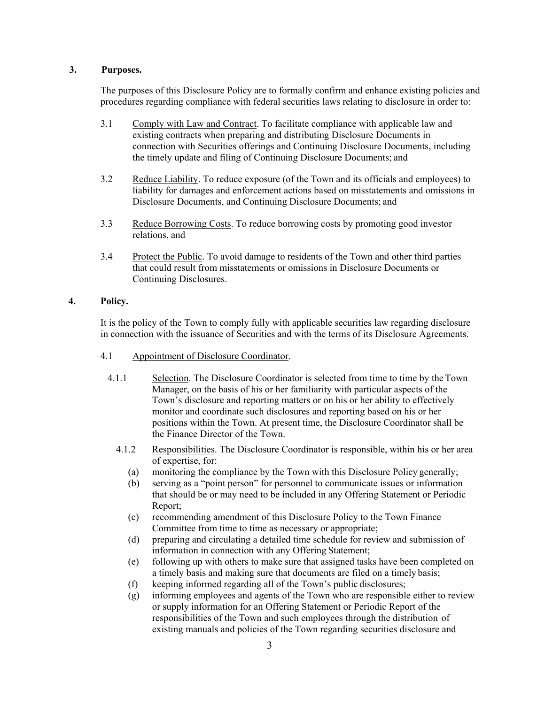## **3. Purposes.**

The purposes of this Disclosure Policy are to formally confirm and enhance existing policies and procedures regarding compliance with federal securities laws relating to disclosure in order to:

- 3.1 Comply with Law and Contract. To facilitate compliance with applicable law and existing contracts when preparing and distributing Disclosure Documents in connection with Securities offerings and Continuing Disclosure Documents, including the timely update and filing of Continuing Disclosure Documents; and
- 3.2 Reduce Liability. To reduce exposure (of the Town and its officials and employees) to liability for damages and enforcement actions based on misstatements and omissions in Disclosure Documents, and Continuing Disclosure Documents; and
- 3.3 Reduce Borrowing Costs. To reduce borrowing costs by promoting good investor relations, and
- 3.4 Protect the Public. To avoid damage to residents of the Town and other third parties that could result from misstatements or omissions in Disclosure Documents or Continuing Disclosures.

# **4. Policy.**

It is the policy of the Town to comply fully with applicable securities law regarding disclosure in connection with the issuance of Securities and with the terms of its Disclosure Agreements.

- 4.1 Appointment of Disclosure Coordinator.
	- 4.1.1 Selection. The Disclosure Coordinator is selected from time to time by the Town Manager, on the basis of his or her familiarity with particular aspects of the Town's disclosure and reporting matters or on his or her ability to effectively monitor and coordinate such disclosures and reporting based on his or her positions within the Town. At present time, the Disclosure Coordinator shall be the Finance Director of the Town.
		- 4.1.2 Responsibilities. The Disclosure Coordinator is responsible, within his or her area of expertise, for:
			- (a) monitoring the compliance by the Town with this Disclosure Policy generally;
			- (b) serving as a "point person" for personnel to communicate issues or information that should be or may need to be included in any Offering Statement or Periodic Report;
			- (c) recommending amendment of this Disclosure Policy to the Town Finance Committee from time to time as necessary or appropriate;
			- (d) preparing and circulating a detailed time schedule for review and submission of information in connection with any Offering Statement;
			- (e) following up with others to make sure that assigned tasks have been completed on a timely basis and making sure that documents are filed on a timely basis;
			- (f) keeping informed regarding all of the Town's public disclosures;
			- (g) informing employees and agents of the Town who are responsible either to review or supply information for an Offering Statement or Periodic Report of the responsibilities of the Town and such employees through the distribution of existing manuals and policies of the Town regarding securities disclosure and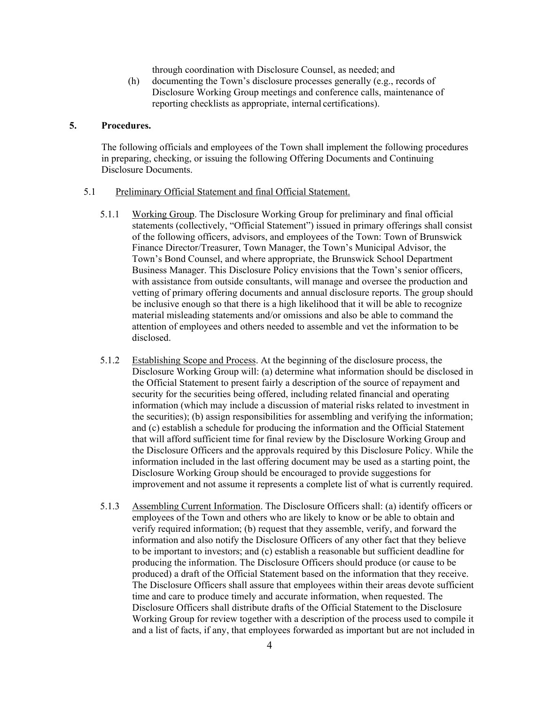through coordination with Disclosure Counsel, as needed; and

(h) documenting the Town's disclosure processes generally (e.g., records of Disclosure Working Group meetings and conference calls, maintenance of reporting checklists as appropriate, internal certifications).

## **5. Procedures.**

The following officials and employees of the Town shall implement the following procedures in preparing, checking, or issuing the following Offering Documents and Continuing Disclosure Documents.

### 5.1 Preliminary Official Statement and final Official Statement.

- 5.1.1 Working Group. The Disclosure Working Group for preliminary and final official statements (collectively, "Official Statement") issued in primary offerings shall consist of the following officers, advisors, and employees of the Town: Town of Brunswick Finance Director/Treasurer, Town Manager, the Town's Municipal Advisor, the Town's Bond Counsel, and where appropriate, the Brunswick School Department Business Manager. This Disclosure Policy envisions that the Town's senior officers, with assistance from outside consultants, will manage and oversee the production and vetting of primary offering documents and annual disclosure reports. The group should be inclusive enough so that there is a high likelihood that it will be able to recognize material misleading statements and/or omissions and also be able to command the attention of employees and others needed to assemble and vet the information to be disclosed.
- 5.1.2 Establishing Scope and Process. At the beginning of the disclosure process, the Disclosure Working Group will: (a) determine what information should be disclosed in the Official Statement to present fairly a description of the source of repayment and security for the securities being offered, including related financial and operating information (which may include a discussion of material risks related to investment in the securities); (b) assign responsibilities for assembling and verifying the information; and (c) establish a schedule for producing the information and the Official Statement that will afford sufficient time for final review by the Disclosure Working Group and the Disclosure Officers and the approvals required by this Disclosure Policy. While the information included in the last offering document may be used as a starting point, the Disclosure Working Group should be encouraged to provide suggestions for improvement and not assume it represents a complete list of what is currently required.
- 5.1.3 Assembling Current Information. The Disclosure Officers shall: (a) identify officers or employees of the Town and others who are likely to know or be able to obtain and verify required information; (b) request that they assemble, verify, and forward the information and also notify the Disclosure Officers of any other fact that they believe to be important to investors; and (c) establish a reasonable but sufficient deadline for producing the information. The Disclosure Officers should produce (or cause to be produced) a draft of the Official Statement based on the information that they receive. The Disclosure Officers shall assure that employees within their areas devote sufficient time and care to produce timely and accurate information, when requested. The Disclosure Officers shall distribute drafts of the Official Statement to the Disclosure Working Group for review together with a description of the process used to compile it and a list of facts, if any, that employees forwarded as important but are not included in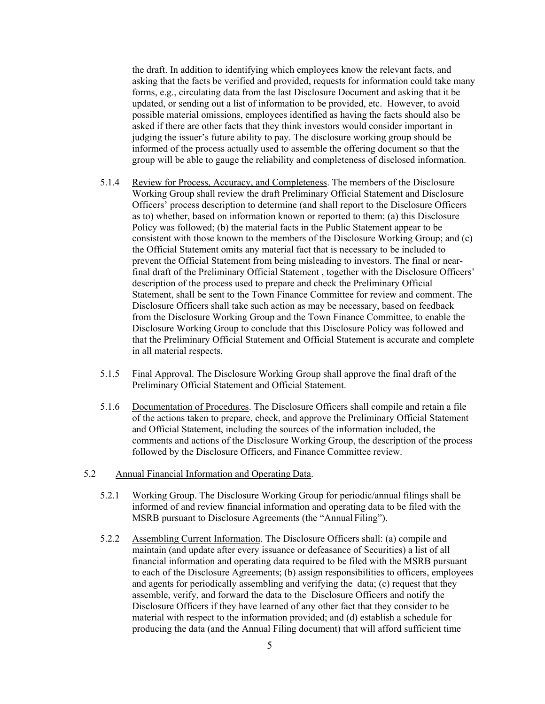the draft. In addition to identifying which employees know the relevant facts, and asking that the facts be verified and provided, requests for information could take many forms, e.g., circulating data from the last Disclosure Document and asking that it be updated, or sending out a list of information to be provided, etc. However, to avoid possible material omissions, employees identified as having the facts should also be asked if there are other facts that they think investors would consider important in judging the issuer's future ability to pay. The disclosure working group should be informed of the process actually used to assemble the offering document so that the group will be able to gauge the reliability and completeness of disclosed information.

- 5.1.4 Review for Process, Accuracy, and Completeness. The members of the Disclosure Working Group shall review the draft Preliminary Official Statement and Disclosure Officers' process description to determine (and shall report to the Disclosure Officers as to) whether, based on information known or reported to them: (a) this Disclosure Policy was followed; (b) the material facts in the Public Statement appear to be consistent with those known to the members of the Disclosure Working Group; and (c) the Official Statement omits any material fact that is necessary to be included to prevent the Official Statement from being misleading to investors. The final or nearfinal draft of the Preliminary Official Statement , together with the Disclosure Officers' description of the process used to prepare and check the Preliminary Official Statement, shall be sent to the Town Finance Committee for review and comment. The Disclosure Officers shall take such action as may be necessary, based on feedback from the Disclosure Working Group and the Town Finance Committee, to enable the Disclosure Working Group to conclude that this Disclosure Policy was followed and that the Preliminary Official Statement and Official Statement is accurate and complete in all material respects.
- 5.1.5 Final Approval. The Disclosure Working Group shall approve the final draft of the Preliminary Official Statement and Official Statement.
- 5.1.6 Documentation of Procedures. The Disclosure Officers shall compile and retain a file of the actions taken to prepare, check, and approve the Preliminary Official Statement and Official Statement, including the sources of the information included, the comments and actions of the Disclosure Working Group, the description of the process followed by the Disclosure Officers, and Finance Committee review.
- 5.2 Annual Financial Information and Operating Data.
	- 5.2.1 Working Group. The Disclosure Working Group for periodic/annual filings shall be informed of and review financial information and operating data to be filed with the MSRB pursuant to Disclosure Agreements (the "Annual Filing").
	- 5.2.2 Assembling Current Information. The Disclosure Officers shall: (a) compile and maintain (and update after every issuance or defeasance of Securities) a list of all financial information and operating data required to be filed with the MSRB pursuant to each of the Disclosure Agreements; (b) assign responsibilities to officers, employees and agents for periodically assembling and verifying the data; (c) request that they assemble, verify, and forward the data to the Disclosure Officers and notify the Disclosure Officers if they have learned of any other fact that they consider to be material with respect to the information provided; and (d) establish a schedule for producing the data (and the Annual Filing document) that will afford sufficient time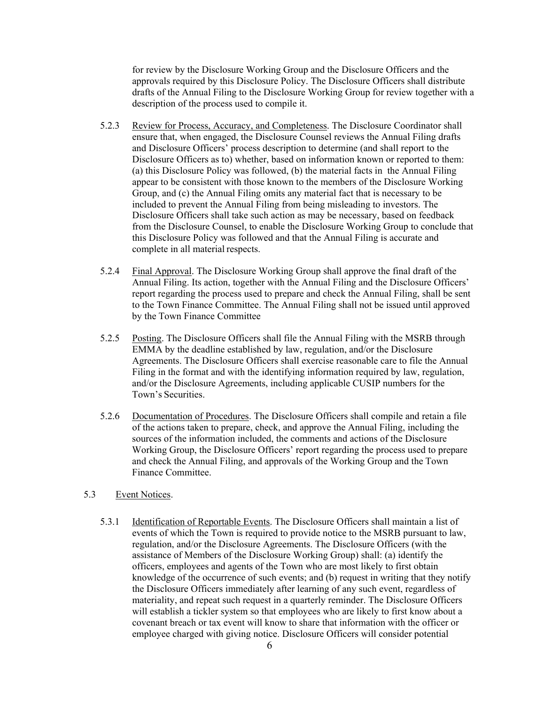for review by the Disclosure Working Group and the Disclosure Officers and the approvals required by this Disclosure Policy. The Disclosure Officers shall distribute drafts of the Annual Filing to the Disclosure Working Group for review together with a description of the process used to compile it.

- 5.2.3 Review for Process, Accuracy, and Completeness. The Disclosure Coordinator shall ensure that, when engaged, the Disclosure Counsel reviews the Annual Filing drafts and Disclosure Officers' process description to determine (and shall report to the Disclosure Officers as to) whether, based on information known or reported to them: (a) this Disclosure Policy was followed, (b) the material facts in the Annual Filing appear to be consistent with those known to the members of the Disclosure Working Group, and (c) the Annual Filing omits any material fact that is necessary to be included to prevent the Annual Filing from being misleading to investors. The Disclosure Officers shall take such action as may be necessary, based on feedback from the Disclosure Counsel, to enable the Disclosure Working Group to conclude that this Disclosure Policy was followed and that the Annual Filing is accurate and complete in all material respects.
- 5.2.4 Final Approval. The Disclosure Working Group shall approve the final draft of the Annual Filing. Its action, together with the Annual Filing and the Disclosure Officers' report regarding the process used to prepare and check the Annual Filing, shall be sent to the Town Finance Committee. The Annual Filing shall not be issued until approved by the Town Finance Committee
- 5.2.5 Posting. The Disclosure Officers shall file the Annual Filing with the MSRB through EMMA by the deadline established by law, regulation, and/or the Disclosure Agreements. The Disclosure Officers shall exercise reasonable care to file the Annual Filing in the format and with the identifying information required by law, regulation, and/or the Disclosure Agreements, including applicable CUSIP numbers for the Town's Securities.
- 5.2.6 Documentation of Procedures. The Disclosure Officers shall compile and retain a file of the actions taken to prepare, check, and approve the Annual Filing, including the sources of the information included, the comments and actions of the Disclosure Working Group, the Disclosure Officers' report regarding the process used to prepare and check the Annual Filing, and approvals of the Working Group and the Town Finance Committee.

# 5.3 Event Notices.

5.3.1 Identification of Reportable Events. The Disclosure Officers shall maintain a list of events of which the Town is required to provide notice to the MSRB pursuant to law, regulation, and/or the Disclosure Agreements. The Disclosure Officers (with the assistance of Members of the Disclosure Working Group) shall: (a) identify the officers, employees and agents of the Town who are most likely to first obtain knowledge of the occurrence of such events; and (b) request in writing that they notify the Disclosure Officers immediately after learning of any such event, regardless of materiality, and repeat such request in a quarterly reminder. The Disclosure Officers will establish a tickler system so that employees who are likely to first know about a covenant breach or tax event will know to share that information with the officer or employee charged with giving notice. Disclosure Officers will consider potential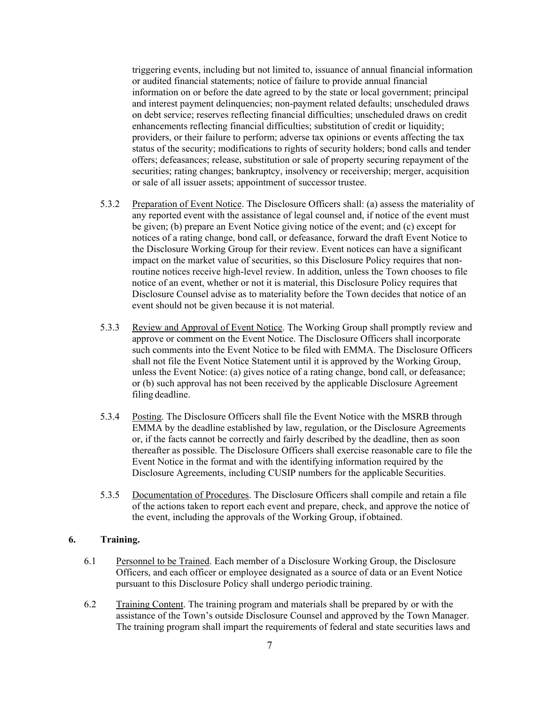triggering events, including but not limited to, issuance of annual financial information or audited financial statements; notice of failure to provide annual financial information on or before the date agreed to by the state or local government; principal and interest payment delinquencies; non-payment related defaults; unscheduled draws on debt service; reserves reflecting financial difficulties; unscheduled draws on credit enhancements reflecting financial difficulties; substitution of credit or liquidity; providers, or their failure to perform; adverse tax opinions or events affecting the tax status of the security; modifications to rights of security holders; bond calls and tender offers; defeasances; release, substitution or sale of property securing repayment of the securities; rating changes; bankruptcy, insolvency or receivership; merger, acquisition or sale of all issuer assets; appointment of successor trustee.

- 5.3.2 Preparation of Event Notice. The Disclosure Officers shall: (a) assess the materiality of any reported event with the assistance of legal counsel and, if notice of the event must be given; (b) prepare an Event Notice giving notice of the event; and (c) except for notices of a rating change, bond call, or defeasance, forward the draft Event Notice to the Disclosure Working Group for their review. Event notices can have a significant impact on the market value of securities, so this Disclosure Policy requires that nonroutine notices receive high-level review. In addition, unless the Town chooses to file notice of an event, whether or not it is material, this Disclosure Policy requires that Disclosure Counsel advise as to materiality before the Town decides that notice of an event should not be given because it is not material.
- 5.3.3 Review and Approval of Event Notice. The Working Group shall promptly review and approve or comment on the Event Notice. The Disclosure Officers shall incorporate such comments into the Event Notice to be filed with EMMA. The Disclosure Officers shall not file the Event Notice Statement until it is approved by the Working Group, unless the Event Notice: (a) gives notice of a rating change, bond call, or defeasance; or (b) such approval has not been received by the applicable Disclosure Agreement filing deadline.
- 5.3.4 Posting. The Disclosure Officers shall file the Event Notice with the MSRB through EMMA by the deadline established by law, regulation, or the Disclosure Agreements or, if the facts cannot be correctly and fairly described by the deadline, then as soon thereafter as possible. The Disclosure Officers shall exercise reasonable care to file the Event Notice in the format and with the identifying information required by the Disclosure Agreements, including CUSIP numbers for the applicable Securities.
- 5.3.5 Documentation of Procedures. The Disclosure Officers shall compile and retain a file of the actions taken to report each event and prepare, check, and approve the notice of the event, including the approvals of the Working Group, if obtained.

#### **6. Training.**

- 6.1 Personnel to be Trained. Each member of a Disclosure Working Group, the Disclosure Officers, and each officer or employee designated as a source of data or an Event Notice pursuant to this Disclosure Policy shall undergo periodic training.
- 6.2 Training Content. The training program and materials shall be prepared by or with the assistance of the Town's outside Disclosure Counsel and approved by the Town Manager. The training program shall impart the requirements of federal and state securities laws and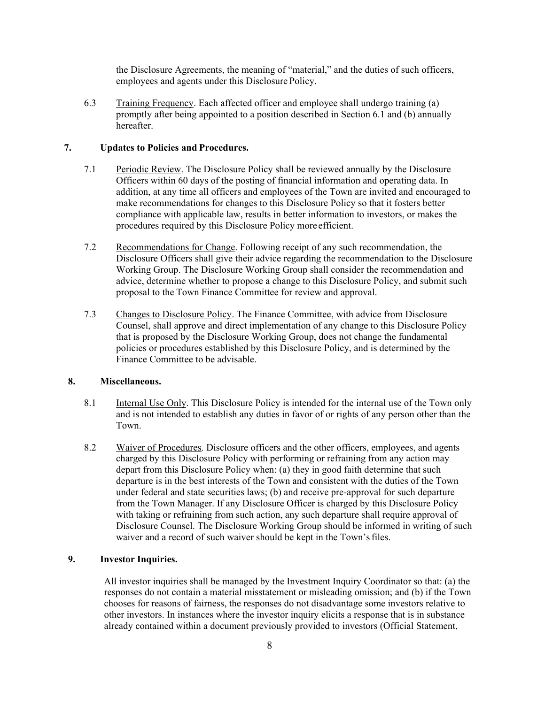the Disclosure Agreements, the meaning of "material," and the duties of such officers, employees and agents under this Disclosure Policy.

6.3 Training Frequency. Each affected officer and employee shall undergo training (a) promptly after being appointed to a position described in Section 6.1 and (b) annually hereafter.

## **7. Updates to Policies and Procedures.**

- 7.1 Periodic Review. The Disclosure Policy shall be reviewed annually by the Disclosure Officers within 60 days of the posting of financial information and operating data. In addition, at any time all officers and employees of the Town are invited and encouraged to make recommendations for changes to this Disclosure Policy so that it fosters better compliance with applicable law, results in better information to investors, or makes the procedures required by this Disclosure Policy more efficient.
- 7.2 Recommendations for Change. Following receipt of any such recommendation, the Disclosure Officers shall give their advice regarding the recommendation to the Disclosure Working Group. The Disclosure Working Group shall consider the recommendation and advice, determine whether to propose a change to this Disclosure Policy, and submit such proposal to the Town Finance Committee for review and approval.
- 7.3 Changes to Disclosure Policy. The Finance Committee, with advice from Disclosure Counsel, shall approve and direct implementation of any change to this Disclosure Policy that is proposed by the Disclosure Working Group, does not change the fundamental policies or procedures established by this Disclosure Policy, and is determined by the Finance Committee to be advisable.

# **8. Miscellaneous.**

- 8.1 Internal Use Only. This Disclosure Policy is intended for the internal use of the Town only and is not intended to establish any duties in favor of or rights of any person other than the Town.
- 8.2 Waiver of Procedures. Disclosure officers and the other officers, employees, and agents charged by this Disclosure Policy with performing or refraining from any action may depart from this Disclosure Policy when: (a) they in good faith determine that such departure is in the best interests of the Town and consistent with the duties of the Town under federal and state securities laws; (b) and receive pre-approval for such departure from the Town Manager. If any Disclosure Officer is charged by this Disclosure Policy with taking or refraining from such action, any such departure shall require approval of Disclosure Counsel. The Disclosure Working Group should be informed in writing of such waiver and a record of such waiver should be kept in the Town's files.

# **9. Investor Inquiries.**

All investor inquiries shall be managed by the Investment Inquiry Coordinator so that: (a) the responses do not contain a material misstatement or misleading omission; and (b) if the Town chooses for reasons of fairness, the responses do not disadvantage some investors relative to other investors. In instances where the investor inquiry elicits a response that is in substance already contained within a document previously provided to investors (Official Statement,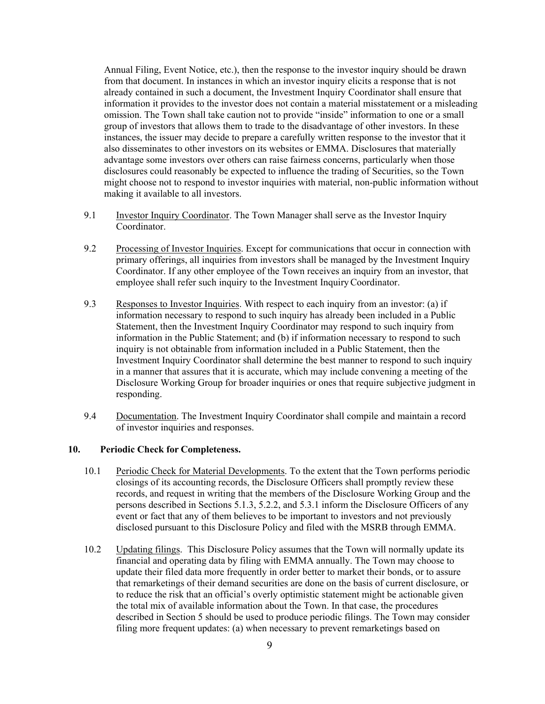Annual Filing, Event Notice, etc.), then the response to the investor inquiry should be drawn from that document. In instances in which an investor inquiry elicits a response that is not already contained in such a document, the Investment Inquiry Coordinator shall ensure that information it provides to the investor does not contain a material misstatement or a misleading omission. The Town shall take caution not to provide "inside" information to one or a small group of investors that allows them to trade to the disadvantage of other investors. In these instances, the issuer may decide to prepare a carefully written response to the investor that it also disseminates to other investors on its websites or EMMA. Disclosures that materially advantage some investors over others can raise fairness concerns, particularly when those disclosures could reasonably be expected to influence the trading of Securities, so the Town might choose not to respond to investor inquiries with material, non-public information without making it available to all investors.

- 9.1 Investor Inquiry Coordinator. The Town Manager shall serve as the Investor Inquiry Coordinator.
- 9.2 Processing of Investor Inquiries. Except for communications that occur in connection with primary offerings, all inquiries from investors shall be managed by the Investment Inquiry Coordinator. If any other employee of the Town receives an inquiry from an investor, that employee shall refer such inquiry to the Investment Inquiry Coordinator.
- 9.3 Responses to Investor Inquiries. With respect to each inquiry from an investor: (a) if information necessary to respond to such inquiry has already been included in a Public Statement, then the Investment Inquiry Coordinator may respond to such inquiry from information in the Public Statement; and (b) if information necessary to respond to such inquiry is not obtainable from information included in a Public Statement, then the Investment Inquiry Coordinator shall determine the best manner to respond to such inquiry in a manner that assures that it is accurate, which may include convening a meeting of the Disclosure Working Group for broader inquiries or ones that require subjective judgment in responding.
- 9.4 Documentation. The Investment Inquiry Coordinator shall compile and maintain a record of investor inquiries and responses.

# **10. Periodic Check for Completeness.**

- 10.1 Periodic Check for Material Developments. To the extent that the Town performs periodic closings of its accounting records, the Disclosure Officers shall promptly review these records, and request in writing that the members of the Disclosure Working Group and the persons described in Sections 5.1.3, 5.2.2, and 5.3.1 inform the Disclosure Officers of any event or fact that any of them believes to be important to investors and not previously disclosed pursuant to this Disclosure Policy and filed with the MSRB through EMMA.
- 10.2 Updating filings. This Disclosure Policy assumes that the Town will normally update its financial and operating data by filing with EMMA annually. The Town may choose to update their filed data more frequently in order better to market their bonds, or to assure that remarketings of their demand securities are done on the basis of current disclosure, or to reduce the risk that an official's overly optimistic statement might be actionable given the total mix of available information about the Town. In that case, the procedures described in Section 5 should be used to produce periodic filings. The Town may consider filing more frequent updates: (a) when necessary to prevent remarketings based on